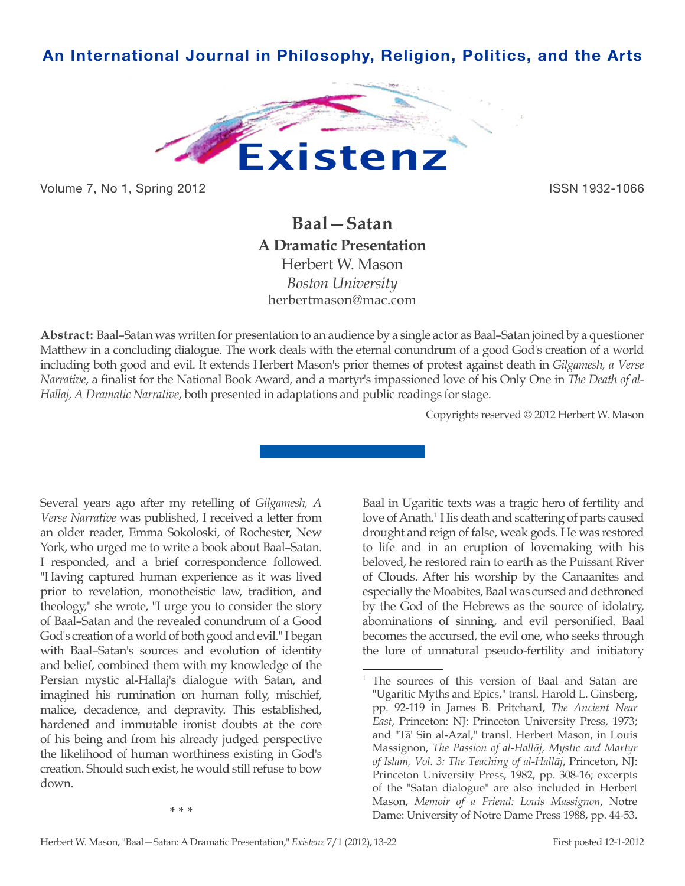# **An International Journal in Philosophy, Religion, Politics, and the Arts**



Volume 7, No 1, Spring 2012 **ISSN 1932-1066** 

# **Baal—Satan A Dramatic Presentation** Herbert W. Mason *Boston University* herbertmason@mac.com

**Abstract:** Baal–Satan was written for presentation to an audience by a single actor as Baal–Satan joined by a questioner Matthew in a concluding dialogue. The work deals with the eternal conundrum of a good God's creation of a world including both good and evil. It extends Herbert Mason's prior themes of protest against death in *Gilgamesh, a Verse Narrative*, a finalist for the National Book Award, and a martyr's impassioned love of his Only One in *The Death of al-Hallaj, A Dramatic Narrative*, both presented in adaptations and public readings for stage.

Copyrights reserved © 2012 Herbert W. Mason

Several years ago after my retelling of *Gilgamesh, A Verse Narrative* was published, I received a letter from an older reader, Emma Sokoloski, of Rochester, New York, who urged me to write a book about Baal–Satan. I responded, and a brief correspondence followed. "Having captured human experience as it was lived prior to revelation, monotheistic law, tradition, and theology," she wrote, "I urge you to consider the story of Baal–Satan and the revealed conundrum of a Good God's creation of a world of both good and evil." I began with Baal–Satan's sources and evolution of identity and belief, combined them with my knowledge of the Persian mystic al-Hallaj's dialogue with Satan, and imagined his rumination on human folly, mischief, malice, decadence, and depravity. This established, hardened and immutable ironist doubts at the core of his being and from his already judged perspective the likelihood of human worthiness existing in God's creation. Should such exist, he would still refuse to bow down.

Baal in Ugaritic texts was a tragic hero of fertility and love of Anath.<sup>1</sup> His death and scattering of parts caused drought and reign of false, weak gods. He was restored to life and in an eruption of lovemaking with his beloved, he restored rain to earth as the Puissant River of Clouds. After his worship by the Canaanites and especially the Moabites, Baal was cursed and dethroned by the God of the Hebrews as the source of idolatry, abominations of sinning, and evil personified. Baal becomes the accursed, the evil one, who seeks through the lure of unnatural pseudo-fertility and initiatory

<sup>&</sup>lt;sup>1</sup> The sources of this version of Baal and Satan are "Ugaritic Myths and Epics," transl. Harold L. Ginsberg, pp. 92-119 in James B. Pritchard, *The Ancient Near East*, Princeton: NJ: Princeton University Press, 1973; and "Tā' Sin al-Azal," transl. Herbert Mason, in Louis Massignon, *The Passion of al-Hallāj, Mystic and Martyr of Islam, Vol. 3: The Teaching of al-Hallāj*, Princeton, NJ: Princeton University Press, 1982, pp. 308-16; excerpts of the "Satan dialogue" are also included in Herbert Mason, *Memoir of a Friend: Louis Massignon*, Notre Dame: University of Notre Dame Press 1988, pp. 44-53.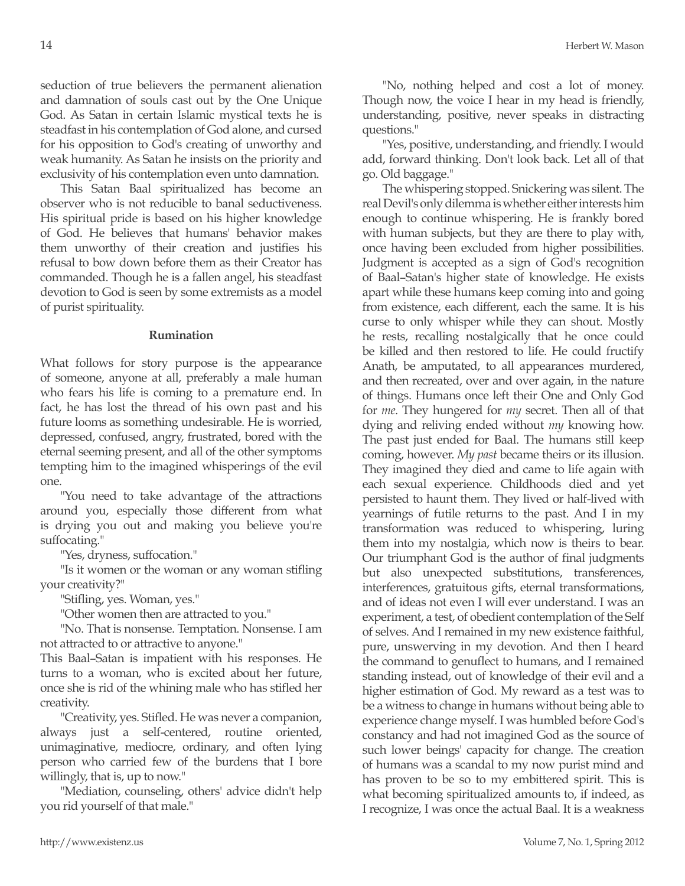seduction of true believers the permanent alienation and damnation of souls cast out by the One Unique God. As Satan in certain Islamic mystical texts he is steadfast in his contemplation of God alone, and cursed for his opposition to God's creating of unworthy and weak humanity. As Satan he insists on the priority and exclusivity of his contemplation even unto damnation.

This Satan Baal spiritualized has become an observer who is not reducible to banal seductiveness. His spiritual pride is based on his higher knowledge of God. He believes that humans' behavior makes them unworthy of their creation and justifies his refusal to bow down before them as their Creator has commanded. Though he is a fallen angel, his steadfast devotion to God is seen by some extremists as a model of purist spirituality.

### **Rumination**

What follows for story purpose is the appearance of someone, anyone at all, preferably a male human who fears his life is coming to a premature end. In fact, he has lost the thread of his own past and his future looms as something undesirable. He is worried, depressed, confused, angry, frustrated, bored with the eternal seeming present, and all of the other symptoms tempting him to the imagined whisperings of the evil one.

"You need to take advantage of the attractions around you, especially those different from what is drying you out and making you believe you're suffocating."

"Yes, dryness, suffocation."

"Is it women or the woman or any woman stifling your creativity?"

"Stifling, yes. Woman, yes."

"Other women then are attracted to you."

"No. That is nonsense. Temptation. Nonsense. I am not attracted to or attractive to anyone."

This Baal–Satan is impatient with his responses. He turns to a woman, who is excited about her future, once she is rid of the whining male who has stifled her creativity.

"Creativity, yes. Stifled. He was never a companion, always just a self-centered, routine oriented, unimaginative, mediocre, ordinary, and often lying person who carried few of the burdens that I bore willingly, that is, up to now."

"Mediation, counseling, others' advice didn't help you rid yourself of that male."

"No, nothing helped and cost a lot of money. Though now, the voice I hear in my head is friendly, understanding, positive, never speaks in distracting questions."

"Yes, positive, understanding, and friendly. I would add, forward thinking. Don't look back. Let all of that go. Old baggage."

The whispering stopped. Snickering was silent. The real Devil's only dilemma is whether either interests him enough to continue whispering. He is frankly bored with human subjects, but they are there to play with, once having been excluded from higher possibilities. Judgment is accepted as a sign of God's recognition of Baal–Satan's higher state of knowledge. He exists apart while these humans keep coming into and going from existence, each different, each the same. It is his curse to only whisper while they can shout. Mostly he rests, recalling nostalgically that he once could be killed and then restored to life. He could fructify Anath, be amputated, to all appearances murdered, and then recreated, over and over again, in the nature of things. Humans once left their One and Only God for *me*. They hungered for *my* secret. Then all of that dying and reliving ended without *my* knowing how. The past just ended for Baal. The humans still keep coming, however. *My past* became theirs or its illusion. They imagined they died and came to life again with each sexual experience. Childhoods died and yet persisted to haunt them. They lived or half-lived with yearnings of futile returns to the past. And I in my transformation was reduced to whispering, luring them into my nostalgia, which now is theirs to bear. Our triumphant God is the author of final judgments but also unexpected substitutions, transferences, interferences, gratuitous gifts, eternal transformations, and of ideas not even I will ever understand. I was an experiment, a test, of obedient contemplation of the Self of selves. And I remained in my new existence faithful, pure, unswerving in my devotion. And then I heard the command to genuflect to humans, and I remained standing instead, out of knowledge of their evil and a higher estimation of God. My reward as a test was to be a witness to change in humans without being able to experience change myself. I was humbled before God's constancy and had not imagined God as the source of such lower beings' capacity for change. The creation of humans was a scandal to my now purist mind and has proven to be so to my embittered spirit. This is what becoming spiritualized amounts to, if indeed, as I recognize, I was once the actual Baal. It is a weakness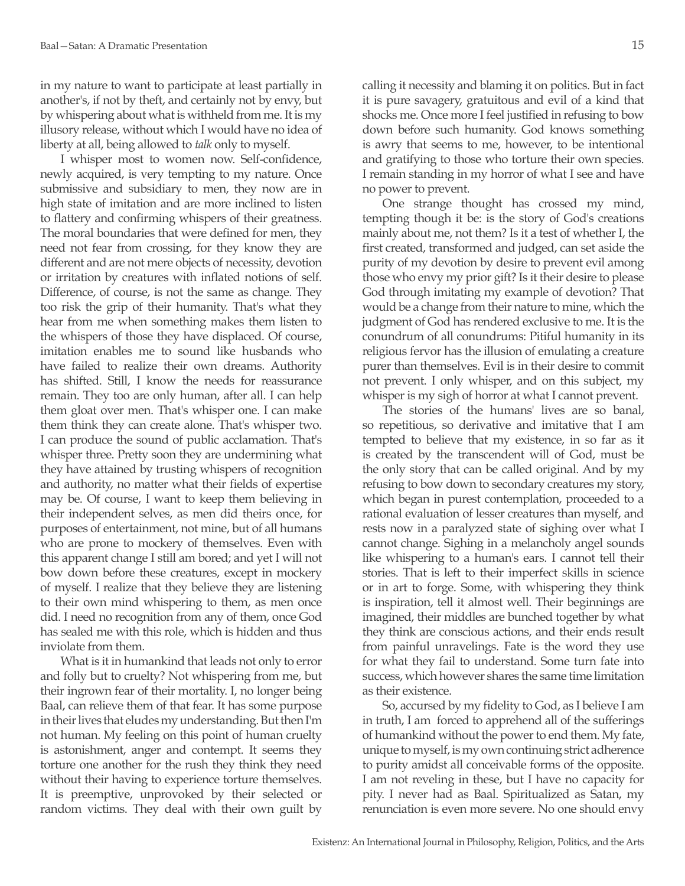in my nature to want to participate at least partially in another's, if not by theft, and certainly not by envy, but by whispering about what is withheld from me. It is my illusory release, without which I would have no idea of liberty at all, being allowed to *talk* only to myself.

I whisper most to women now. Self-confidence, newly acquired, is very tempting to my nature. Once submissive and subsidiary to men, they now are in high state of imitation and are more inclined to listen to flattery and confirming whispers of their greatness. The moral boundaries that were defined for men, they need not fear from crossing, for they know they are different and are not mere objects of necessity, devotion or irritation by creatures with inflated notions of self. Difference, of course, is not the same as change. They too risk the grip of their humanity. That's what they hear from me when something makes them listen to the whispers of those they have displaced. Of course, imitation enables me to sound like husbands who have failed to realize their own dreams. Authority has shifted. Still, I know the needs for reassurance remain. They too are only human, after all. I can help them gloat over men. That's whisper one. I can make them think they can create alone. That's whisper two. I can produce the sound of public acclamation. That's whisper three. Pretty soon they are undermining what they have attained by trusting whispers of recognition and authority, no matter what their fields of expertise may be. Of course, I want to keep them believing in their independent selves, as men did theirs once, for purposes of entertainment, not mine, but of all humans who are prone to mockery of themselves. Even with this apparent change I still am bored; and yet I will not bow down before these creatures, except in mockery of myself. I realize that they believe they are listening to their own mind whispering to them, as men once did. I need no recognition from any of them, once God has sealed me with this role, which is hidden and thus inviolate from them.

What is it in humankind that leads not only to error and folly but to cruelty? Not whispering from me, but their ingrown fear of their mortality. I, no longer being Baal, can relieve them of that fear. It has some purpose in their lives that eludes my understanding. But then I'm not human. My feeling on this point of human cruelty is astonishment, anger and contempt. It seems they torture one another for the rush they think they need without their having to experience torture themselves. It is preemptive, unprovoked by their selected or random victims. They deal with their own guilt by

calling it necessity and blaming it on politics. But in fact it is pure savagery, gratuitous and evil of a kind that shocks me. Once more I feel justified in refusing to bow down before such humanity. God knows something is awry that seems to me, however, to be intentional and gratifying to those who torture their own species. I remain standing in my horror of what I see and have no power to prevent.

One strange thought has crossed my mind, tempting though it be: is the story of God's creations mainly about me, not them? Is it a test of whether I, the first created, transformed and judged, can set aside the purity of my devotion by desire to prevent evil among those who envy my prior gift? Is it their desire to please God through imitating my example of devotion? That would be a change from their nature to mine, which the judgment of God has rendered exclusive to me. It is the conundrum of all conundrums: Pitiful humanity in its religious fervor has the illusion of emulating a creature purer than themselves. Evil is in their desire to commit not prevent. I only whisper, and on this subject, my whisper is my sigh of horror at what I cannot prevent.

The stories of the humans' lives are so banal, so repetitious, so derivative and imitative that I am tempted to believe that my existence, in so far as it is created by the transcendent will of God, must be the only story that can be called original. And by my refusing to bow down to secondary creatures my story, which began in purest contemplation, proceeded to a rational evaluation of lesser creatures than myself, and rests now in a paralyzed state of sighing over what I cannot change. Sighing in a melancholy angel sounds like whispering to a human's ears. I cannot tell their stories. That is left to their imperfect skills in science or in art to forge. Some, with whispering they think is inspiration, tell it almost well. Their beginnings are imagined, their middles are bunched together by what they think are conscious actions, and their ends result from painful unravelings. Fate is the word they use for what they fail to understand. Some turn fate into success, which however shares the same time limitation as their existence.

So, accursed by my fidelity to God, as I believe I am in truth, I am forced to apprehend all of the sufferings of humankind without the power to end them. My fate, unique to myself, is my own continuing strict adherence to purity amidst all conceivable forms of the opposite. I am not reveling in these, but I have no capacity for pity. I never had as Baal. Spiritualized as Satan, my renunciation is even more severe. No one should envy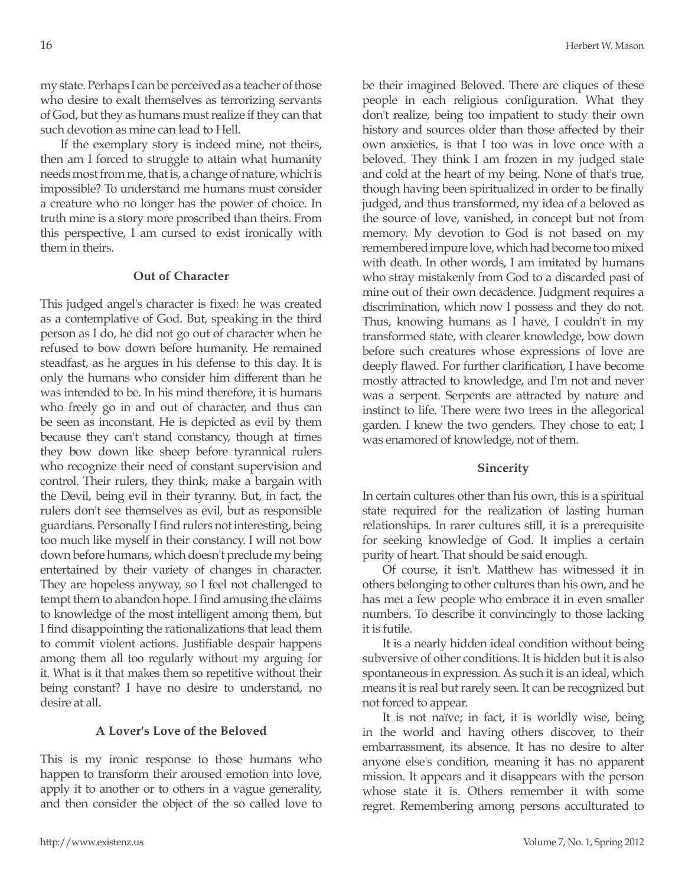my state. Perhaps I can be perceived as a teacher of those who desire to exalt themselves as terrorizing servants of God, but they as humans must realize if they can that such devotion as mine can lead to Hell.

If the exemplary story is indeed mine, not theirs, then am I forced to struggle to attain what humanity needs most from me, that is, a change of nature, which is impossible? To understand me humans must consider a creature who no longer has the power of choice. In truth mine is a story more proscribed than theirs. From this perspective, I am cursed to exist ironically with them in theirs.

## **Out of Character**

This judged angel's character is fixed: he was created as a contemplative of God. But, speaking in the third person as I do, he did not go out of character when he refused to bow down before humanity. He remained steadfast, as he argues in his defense to this day. It is only the humans who consider him different than he was intended to be. In his mind therefore, it is humans who freely go in and out of character, and thus can be seen as inconstant. He is depicted as evil by them because they can't stand constancy, though at times they bow down like sheep before tyrannical rulers who recognize their need of constant supervision and control. Their rulers, they think, make a bargain with the Devil, being evil in their tyranny. But, in fact, the rulers don't see themselves as evil, but as responsible guardians. Personally I find rulers not interesting, being too much like myself in their constancy. I will not bow down before humans, which doesn't preclude my being entertained by their variety of changes in character. They are hopeless anyway, so I feel not challenged to tempt them to abandon hope. I find amusing the claims to knowledge of the most intelligent among them, but I find disappointing the rationalizations that lead them to commit violent actions. Justifiable despair happens among them all too regularly without my arguing for it. What is it that makes them so repetitive without their being constant? I have no desire to understand, no desire at all.

#### **A Lover's Love of the Beloved**

This is my ironic response to those humans who happen to transform their aroused emotion into love, apply it to another or to others in a vague generality, and then consider the object of the so called love to be their imagined Beloved. There are cliques of these people in each religious configuration. What they don't realize, being too impatient to study their own history and sources older than those affected by their own anxieties, is that I too was in love once with a beloved. They think I am frozen in my judged state and cold at the heart of my being. None of that's true, though having been spiritualized in order to be finally judged, and thus transformed, my idea of a beloved as the source of love, vanished, in concept but not from memory. My devotion to God is not based on my remembered impure love, which had become too mixed with death. In other words, I am imitated by humans who stray mistakenly from God to a discarded past of mine out of their own decadence. Judgment requires a discrimination, which now I possess and they do not. Thus, knowing humans as I have, I couldn't in my transformed state, with clearer knowledge, bow down before such creatures whose expressions of love are deeply flawed. For further clarification, I have become mostly attracted to knowledge, and I'm not and never was a serpent. Serpents are attracted by nature and instinct to life. There were two trees in the allegorical garden. I knew the two genders. They chose to eat; I was enamored of knowledge, not of them.

#### **Sincerity**

In certain cultures other than his own, this is a spiritual state required for the realization of lasting human relationships. In rarer cultures still, it is a prerequisite for seeking knowledge of God. It implies a certain purity of heart. That should be said enough.

Of course, it isn't. Matthew has witnessed it in others belonging to other cultures than his own, and he has met a few people who embrace it in even smaller numbers. To describe it convincingly to those lacking it is futile.

It is a nearly hidden ideal condition without being subversive of other conditions. It is hidden but it is also spontaneous in expression. As such it is an ideal, which means it is real but rarely seen. It can be recognized but not forced to appear.

It is not naïve; in fact, it is worldly wise, being in the world and having others discover, to their embarrassment, its absence. It has no desire to alter anyone else's condition, meaning it has no apparent mission. It appears and it disappears with the person whose state it is. Others remember it with some regret. Remembering among persons acculturated to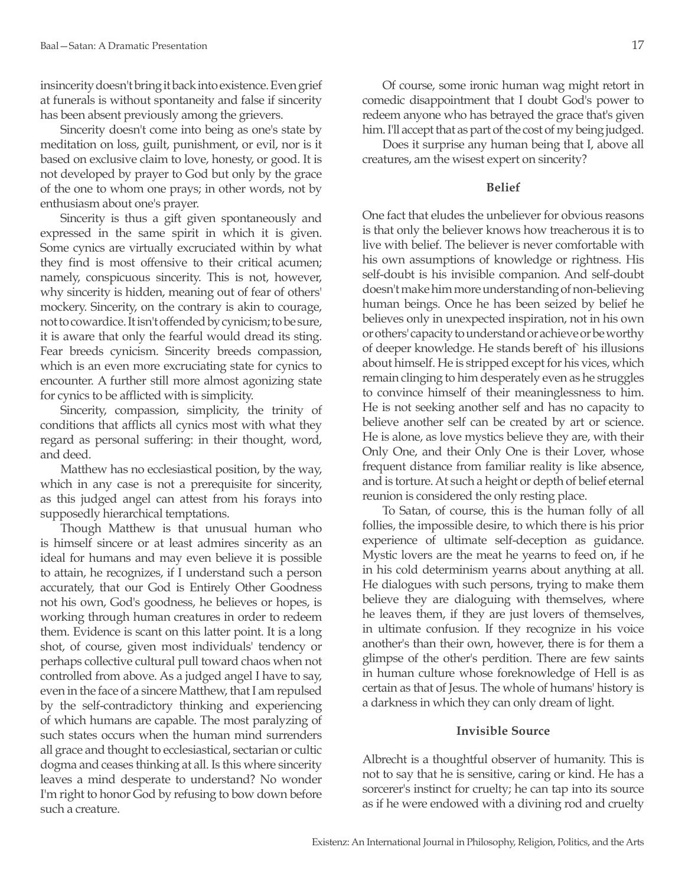insincerity doesn't bring it back into existence. Even grief at funerals is without spontaneity and false if sincerity has been absent previously among the grievers.

Sincerity doesn't come into being as one's state by meditation on loss, guilt, punishment, or evil, nor is it based on exclusive claim to love, honesty, or good. It is not developed by prayer to God but only by the grace of the one to whom one prays; in other words, not by enthusiasm about one's prayer.

Sincerity is thus a gift given spontaneously and expressed in the same spirit in which it is given. Some cynics are virtually excruciated within by what they find is most offensive to their critical acumen; namely, conspicuous sincerity. This is not, however, why sincerity is hidden, meaning out of fear of others' mockery. Sincerity, on the contrary is akin to courage, not to cowardice. It isn't offended by cynicism; to be sure, it is aware that only the fearful would dread its sting. Fear breeds cynicism. Sincerity breeds compassion, which is an even more excruciating state for cynics to encounter. A further still more almost agonizing state for cynics to be afflicted with is simplicity.

Sincerity, compassion, simplicity, the trinity of conditions that afflicts all cynics most with what they regard as personal suffering: in their thought, word, and deed.

Matthew has no ecclesiastical position, by the way, which in any case is not a prerequisite for sincerity, as this judged angel can attest from his forays into supposedly hierarchical temptations.

Though Matthew is that unusual human who is himself sincere or at least admires sincerity as an ideal for humans and may even believe it is possible to attain, he recognizes, if I understand such a person accurately, that our God is Entirely Other Goodness not his own, God's goodness, he believes or hopes, is working through human creatures in order to redeem them. Evidence is scant on this latter point. It is a long shot, of course, given most individuals' tendency or perhaps collective cultural pull toward chaos when not controlled from above. As a judged angel I have to say, even in the face of a sincere Matthew, that I am repulsed by the self-contradictory thinking and experiencing of which humans are capable. The most paralyzing of such states occurs when the human mind surrenders all grace and thought to ecclesiastical, sectarian or cultic dogma and ceases thinking at all. Is this where sincerity leaves a mind desperate to understand? No wonder I'm right to honor God by refusing to bow down before such a creature.

Of course, some ironic human wag might retort in comedic disappointment that I doubt God's power to redeem anyone who has betrayed the grace that's given him. I'll accept that as part of the cost of my being judged.

Does it surprise any human being that I, above all creatures, am the wisest expert on sincerity?

### **Belief**

One fact that eludes the unbeliever for obvious reasons is that only the believer knows how treacherous it is to live with belief. The believer is never comfortable with his own assumptions of knowledge or rightness. His self-doubt is his invisible companion. And self-doubt doesn't make him more understanding of non-believing human beings. Once he has been seized by belief he believes only in unexpected inspiration, not in his own or others' capacity to understand or achieve or be worthy of deeper knowledge. He stands bereft of` his illusions about himself. He is stripped except for his vices, which remain clinging to him desperately even as he struggles to convince himself of their meaninglessness to him. He is not seeking another self and has no capacity to believe another self can be created by art or science. He is alone, as love mystics believe they are, with their Only One, and their Only One is their Lover, whose frequent distance from familiar reality is like absence, and is torture. At such a height or depth of belief eternal reunion is considered the only resting place.

To Satan, of course, this is the human folly of all follies, the impossible desire, to which there is his prior experience of ultimate self-deception as guidance. Mystic lovers are the meat he yearns to feed on, if he in his cold determinism yearns about anything at all. He dialogues with such persons, trying to make them believe they are dialoguing with themselves, where he leaves them, if they are just lovers of themselves, in ultimate confusion. If they recognize in his voice another's than their own, however, there is for them a glimpse of the other's perdition. There are few saints in human culture whose foreknowledge of Hell is as certain as that of Jesus. The whole of humans' history is a darkness in which they can only dream of light.

### **Invisible Source**

Albrecht is a thoughtful observer of humanity. This is not to say that he is sensitive, caring or kind. He has a sorcerer's instinct for cruelty; he can tap into its source as if he were endowed with a divining rod and cruelty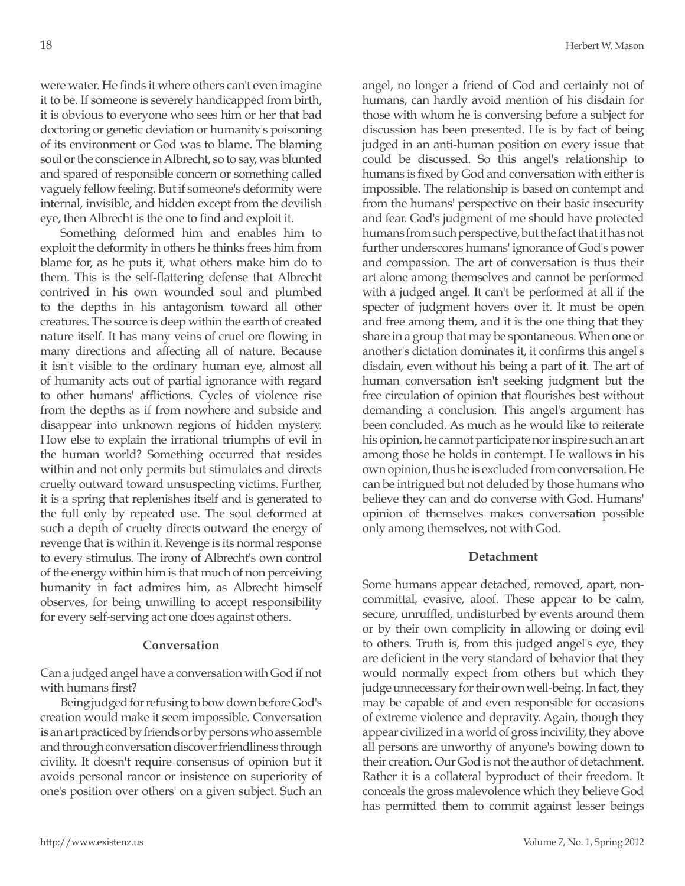were water. He finds it where others can't even imagine it to be. If someone is severely handicapped from birth, it is obvious to everyone who sees him or her that bad doctoring or genetic deviation or humanity's poisoning of its environment or God was to blame. The blaming soul or the conscience in Albrecht, so to say, was blunted and spared of responsible concern or something called vaguely fellow feeling. But if someone's deformity were internal, invisible, and hidden except from the devilish eye, then Albrecht is the one to find and exploit it.

Something deformed him and enables him to exploit the deformity in others he thinks frees him from blame for, as he puts it, what others make him do to them. This is the self-flattering defense that Albrecht contrived in his own wounded soul and plumbed to the depths in his antagonism toward all other creatures. The source is deep within the earth of created nature itself. It has many veins of cruel ore flowing in many directions and affecting all of nature. Because it isn't visible to the ordinary human eye, almost all of humanity acts out of partial ignorance with regard to other humans' afflictions. Cycles of violence rise from the depths as if from nowhere and subside and disappear into unknown regions of hidden mystery. How else to explain the irrational triumphs of evil in the human world? Something occurred that resides within and not only permits but stimulates and directs cruelty outward toward unsuspecting victims. Further, it is a spring that replenishes itself and is generated to the full only by repeated use. The soul deformed at such a depth of cruelty directs outward the energy of revenge that is within it. Revenge is its normal response to every stimulus. The irony of Albrecht's own control of the energy within him is that much of non perceiving humanity in fact admires him, as Albrecht himself observes, for being unwilling to accept responsibility for every self-serving act one does against others.

# **Conversation**

Can a judged angel have a conversation with God if not with humans first?

Being judged for refusing to bow down before God's creation would make it seem impossible. Conversation is an art practiced by friends or by persons who assemble and through conversation discover friendliness through civility. It doesn't require consensus of opinion but it avoids personal rancor or insistence on superiority of one's position over others' on a given subject. Such an angel, no longer a friend of God and certainly not of humans, can hardly avoid mention of his disdain for those with whom he is conversing before a subject for discussion has been presented. He is by fact of being judged in an anti-human position on every issue that could be discussed. So this angel's relationship to humans is fixed by God and conversation with either is impossible. The relationship is based on contempt and from the humans' perspective on their basic insecurity and fear. God's judgment of me should have protected humans from such perspective, but the fact that it has not further underscores humans' ignorance of God's power and compassion. The art of conversation is thus their art alone among themselves and cannot be performed with a judged angel. It can't be performed at all if the specter of judgment hovers over it. It must be open and free among them, and it is the one thing that they share in a group that may be spontaneous. When one or another's dictation dominates it, it confirms this angel's disdain, even without his being a part of it. The art of human conversation isn't seeking judgment but the free circulation of opinion that flourishes best without demanding a conclusion. This angel's argument has been concluded. As much as he would like to reiterate his opinion, he cannot participate nor inspire such an art among those he holds in contempt. He wallows in his own opinion, thus he is excluded from conversation. He can be intrigued but not deluded by those humans who believe they can and do converse with God. Humans' opinion of themselves makes conversation possible only among themselves, not with God.

# **Detachment**

Some humans appear detached, removed, apart, noncommittal, evasive, aloof. These appear to be calm, secure, unruffled, undisturbed by events around them or by their own complicity in allowing or doing evil to others. Truth is, from this judged angel's eye, they are deficient in the very standard of behavior that they would normally expect from others but which they judge unnecessary for their own well-being. In fact, they may be capable of and even responsible for occasions of extreme violence and depravity. Again, though they appear civilized in a world of gross incivility, they above all persons are unworthy of anyone's bowing down to their creation. Our God is not the author of detachment. Rather it is a collateral byproduct of their freedom. It conceals the gross malevolence which they believe God has permitted them to commit against lesser beings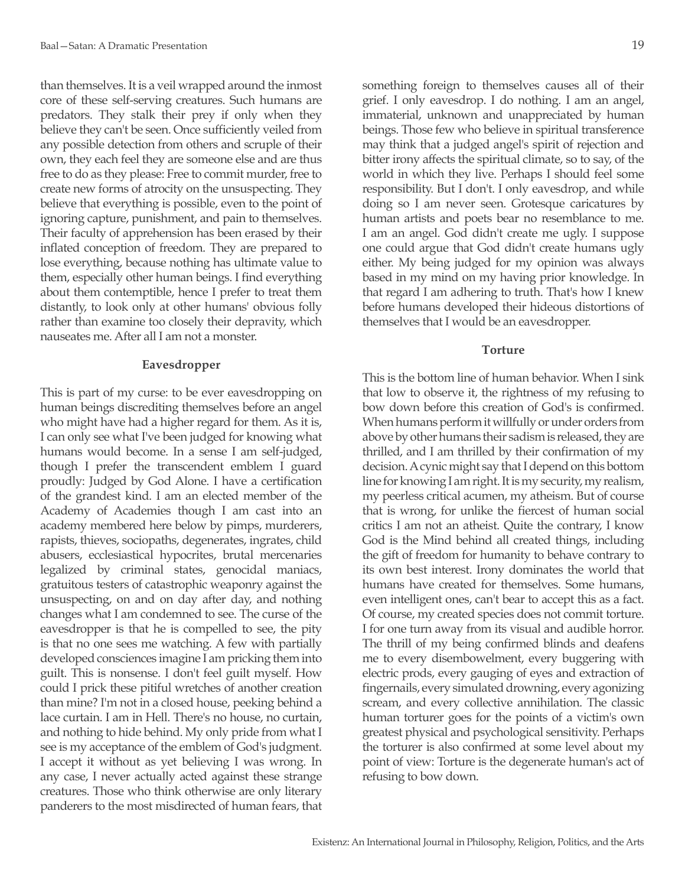than themselves. It is a veil wrapped around the inmost core of these self-serving creatures. Such humans are predators. They stalk their prey if only when they believe they can't be seen. Once sufficiently veiled from any possible detection from others and scruple of their own, they each feel they are someone else and are thus free to do as they please: Free to commit murder, free to create new forms of atrocity on the unsuspecting. They believe that everything is possible, even to the point of ignoring capture, punishment, and pain to themselves. Their faculty of apprehension has been erased by their inflated conception of freedom. They are prepared to lose everything, because nothing has ultimate value to them, especially other human beings. I find everything about them contemptible, hence I prefer to treat them distantly, to look only at other humans' obvious folly rather than examine too closely their depravity, which nauseates me. After all I am not a monster.

### **Eavesdropper**

This is part of my curse: to be ever eavesdropping on human beings discrediting themselves before an angel who might have had a higher regard for them. As it is, I can only see what I've been judged for knowing what humans would become. In a sense I am self-judged, though I prefer the transcendent emblem I guard proudly: Judged by God Alone. I have a certification of the grandest kind. I am an elected member of the Academy of Academies though I am cast into an academy membered here below by pimps, murderers, rapists, thieves, sociopaths, degenerates, ingrates, child abusers, ecclesiastical hypocrites, brutal mercenaries legalized by criminal states, genocidal maniacs, gratuitous testers of catastrophic weaponry against the unsuspecting, on and on day after day, and nothing changes what I am condemned to see. The curse of the eavesdropper is that he is compelled to see, the pity is that no one sees me watching. A few with partially developed consciences imagine I am pricking them into guilt. This is nonsense. I don't feel guilt myself. How could I prick these pitiful wretches of another creation than mine? I'm not in a closed house, peeking behind a lace curtain. I am in Hell. There's no house, no curtain, and nothing to hide behind. My only pride from what I see is my acceptance of the emblem of God's judgment. I accept it without as yet believing I was wrong. In any case, I never actually acted against these strange creatures. Those who think otherwise are only literary panderers to the most misdirected of human fears, that something foreign to themselves causes all of their grief. I only eavesdrop. I do nothing. I am an angel, immaterial, unknown and unappreciated by human beings. Those few who believe in spiritual transference may think that a judged angel's spirit of rejection and bitter irony affects the spiritual climate, so to say, of the world in which they live. Perhaps I should feel some responsibility. But I don't. I only eavesdrop, and while doing so I am never seen. Grotesque caricatures by human artists and poets bear no resemblance to me. I am an angel. God didn't create me ugly. I suppose one could argue that God didn't create humans ugly either. My being judged for my opinion was always based in my mind on my having prior knowledge. In that regard I am adhering to truth. That's how I knew before humans developed their hideous distortions of themselves that I would be an eavesdropper.

### **Torture**

This is the bottom line of human behavior. When I sink that low to observe it, the rightness of my refusing to bow down before this creation of God's is confirmed. When humans perform it willfully or under orders from above by other humans their sadism is released, they are thrilled, and I am thrilled by their confirmation of my decision. A cynic might say that I depend on this bottom line for knowing I am right. It is my security, my realism, my peerless critical acumen, my atheism. But of course that is wrong, for unlike the fiercest of human social critics I am not an atheist. Quite the contrary, I know God is the Mind behind all created things, including the gift of freedom for humanity to behave contrary to its own best interest. Irony dominates the world that humans have created for themselves. Some humans, even intelligent ones, can't bear to accept this as a fact. Of course, my created species does not commit torture. I for one turn away from its visual and audible horror. The thrill of my being confirmed blinds and deafens me to every disembowelment, every buggering with electric prods, every gauging of eyes and extraction of fingernails, every simulated drowning, every agonizing scream, and every collective annihilation. The classic human torturer goes for the points of a victim's own greatest physical and psychological sensitivity. Perhaps the torturer is also confirmed at some level about my point of view: Torture is the degenerate human's act of refusing to bow down.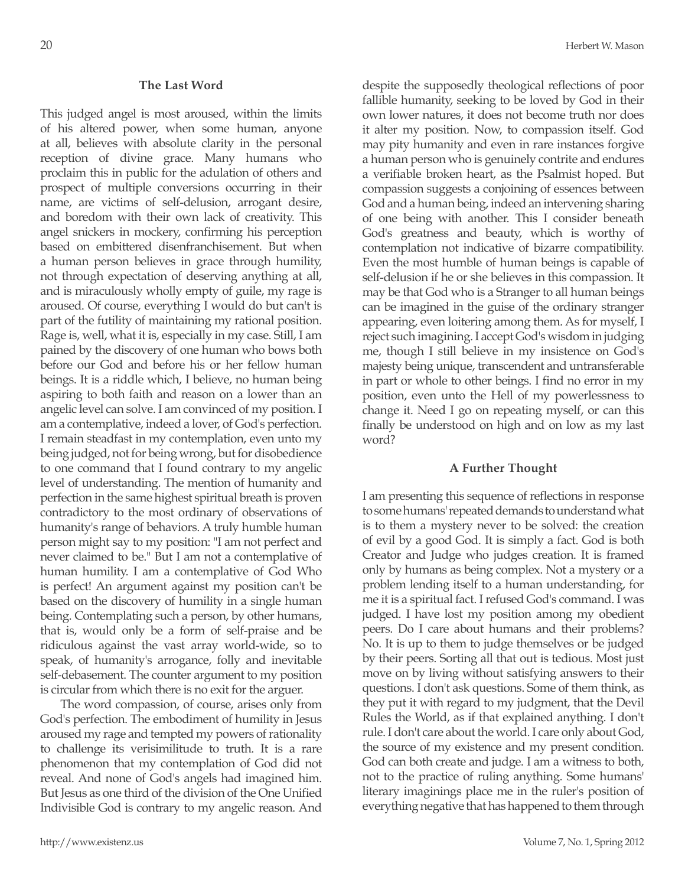### **The Last Word**

This judged angel is most aroused, within the limits of his altered power, when some human, anyone at all, believes with absolute clarity in the personal reception of divine grace. Many humans who proclaim this in public for the adulation of others and prospect of multiple conversions occurring in their name, are victims of self-delusion, arrogant desire, and boredom with their own lack of creativity. This angel snickers in mockery, confirming his perception based on embittered disenfranchisement. But when a human person believes in grace through humility, not through expectation of deserving anything at all, and is miraculously wholly empty of guile, my rage is aroused. Of course, everything I would do but can't is part of the futility of maintaining my rational position. Rage is, well, what it is, especially in my case. Still, I am pained by the discovery of one human who bows both before our God and before his or her fellow human beings. It is a riddle which, I believe, no human being aspiring to both faith and reason on a lower than an angelic level can solve. I am convinced of my position. I am a contemplative, indeed a lover, of God's perfection. I remain steadfast in my contemplation, even unto my being judged, not for being wrong, but for disobedience to one command that I found contrary to my angelic level of understanding. The mention of humanity and perfection in the same highest spiritual breath is proven contradictory to the most ordinary of observations of humanity's range of behaviors. A truly humble human person might say to my position: "I am not perfect and never claimed to be." But I am not a contemplative of human humility. I am a contemplative of God Who is perfect! An argument against my position can't be based on the discovery of humility in a single human being. Contemplating such a person, by other humans, that is, would only be a form of self-praise and be ridiculous against the vast array world-wide, so to speak, of humanity's arrogance, folly and inevitable self-debasement. The counter argument to my position is circular from which there is no exit for the arguer.

The word compassion, of course, arises only from God's perfection. The embodiment of humility in Jesus aroused my rage and tempted my powers of rationality to challenge its verisimilitude to truth. It is a rare phenomenon that my contemplation of God did not reveal. And none of God's angels had imagined him. But Jesus as one third of the division of the One Unified Indivisible God is contrary to my angelic reason. And despite the supposedly theological reflections of poor fallible humanity, seeking to be loved by God in their own lower natures, it does not become truth nor does it alter my position. Now, to compassion itself. God may pity humanity and even in rare instances forgive a human person who is genuinely contrite and endures a verifiable broken heart, as the Psalmist hoped. But compassion suggests a conjoining of essences between God and a human being, indeed an intervening sharing of one being with another. This I consider beneath God's greatness and beauty, which is worthy of contemplation not indicative of bizarre compatibility. Even the most humble of human beings is capable of self-delusion if he or she believes in this compassion. It may be that God who is a Stranger to all human beings can be imagined in the guise of the ordinary stranger appearing, even loitering among them. As for myself, I reject such imagining. I accept God's wisdom in judging me, though I still believe in my insistence on God's majesty being unique, transcendent and untransferable in part or whole to other beings. I find no error in my position, even unto the Hell of my powerlessness to change it. Need I go on repeating myself, or can this finally be understood on high and on low as my last word?

### **A Further Thought**

I am presenting this sequence of reflections in response to some humans' repeated demands to understand what is to them a mystery never to be solved: the creation of evil by a good God. It is simply a fact. God is both Creator and Judge who judges creation. It is framed only by humans as being complex. Not a mystery or a problem lending itself to a human understanding, for me it is a spiritual fact. I refused God's command. I was judged. I have lost my position among my obedient peers. Do I care about humans and their problems? No. It is up to them to judge themselves or be judged by their peers. Sorting all that out is tedious. Most just move on by living without satisfying answers to their questions. I don't ask questions. Some of them think, as they put it with regard to my judgment, that the Devil Rules the World, as if that explained anything. I don't rule. I don't care about the world. I care only about God, the source of my existence and my present condition. God can both create and judge. I am a witness to both, not to the practice of ruling anything. Some humans' literary imaginings place me in the ruler's position of everything negative that has happened to them through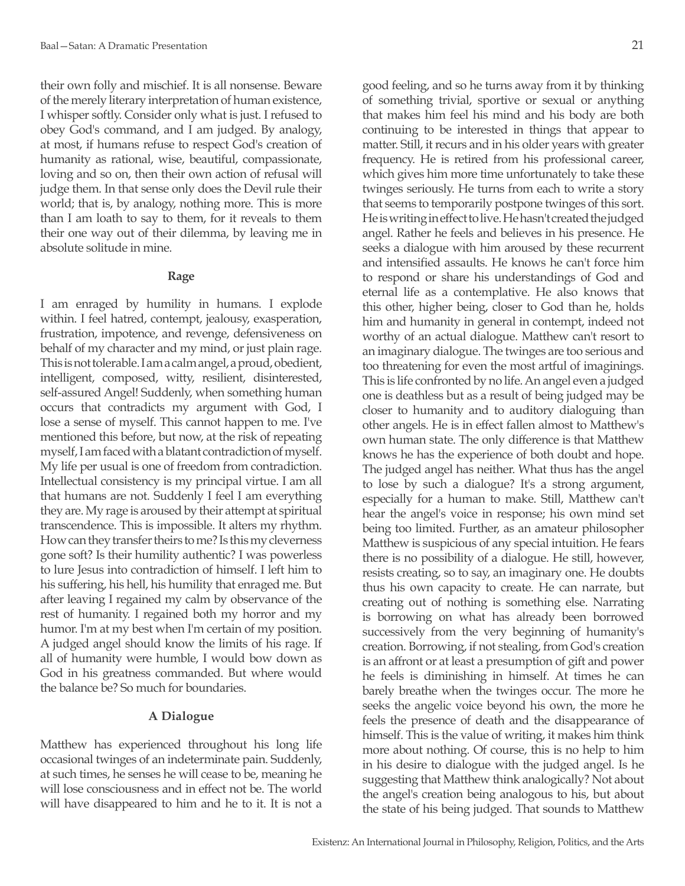their own folly and mischief. It is all nonsense. Beware of the merely literary interpretation of human existence, I whisper softly. Consider only what is just. I refused to obey God's command, and I am judged. By analogy, at most, if humans refuse to respect God's creation of humanity as rational, wise, beautiful, compassionate, loving and so on, then their own action of refusal will judge them. In that sense only does the Devil rule their world; that is, by analogy, nothing more. This is more than I am loath to say to them, for it reveals to them their one way out of their dilemma, by leaving me in absolute solitude in mine.

### **Rage**

I am enraged by humility in humans. I explode within. I feel hatred, contempt, jealousy, exasperation, frustration, impotence, and revenge, defensiveness on behalf of my character and my mind, or just plain rage. This is not tolerable. I am a calm angel, a proud, obedient, intelligent, composed, witty, resilient, disinterested, self-assured Angel! Suddenly, when something human occurs that contradicts my argument with God, I lose a sense of myself. This cannot happen to me. I've mentioned this before, but now, at the risk of repeating myself, I am faced with a blatant contradiction of myself. My life per usual is one of freedom from contradiction. Intellectual consistency is my principal virtue. I am all that humans are not. Suddenly I feel I am everything they are. My rage is aroused by their attempt at spiritual transcendence. This is impossible. It alters my rhythm. How can they transfer theirs to me? Is this my cleverness gone soft? Is their humility authentic? I was powerless to lure Jesus into contradiction of himself. I left him to his suffering, his hell, his humility that enraged me. But after leaving I regained my calm by observance of the rest of humanity. I regained both my horror and my humor. I'm at my best when I'm certain of my position. A judged angel should know the limits of his rage. If all of humanity were humble, I would bow down as God in his greatness commanded. But where would the balance be? So much for boundaries.

## **A Dialogue**

Matthew has experienced throughout his long life occasional twinges of an indeterminate pain. Suddenly, at such times, he senses he will cease to be, meaning he will lose consciousness and in effect not be. The world will have disappeared to him and he to it. It is not a good feeling, and so he turns away from it by thinking of something trivial, sportive or sexual or anything that makes him feel his mind and his body are both continuing to be interested in things that appear to matter. Still, it recurs and in his older years with greater frequency. He is retired from his professional career, which gives him more time unfortunately to take these twinges seriously. He turns from each to write a story that seems to temporarily postpone twinges of this sort. He is writing in effect to live. He hasn't created the judged angel. Rather he feels and believes in his presence. He seeks a dialogue with him aroused by these recurrent and intensified assaults. He knows he can't force him to respond or share his understandings of God and eternal life as a contemplative. He also knows that this other, higher being, closer to God than he, holds him and humanity in general in contempt, indeed not worthy of an actual dialogue. Matthew can't resort to an imaginary dialogue. The twinges are too serious and too threatening for even the most artful of imaginings. This is life confronted by no life. An angel even a judged one is deathless but as a result of being judged may be closer to humanity and to auditory dialoguing than other angels. He is in effect fallen almost to Matthew's own human state. The only difference is that Matthew knows he has the experience of both doubt and hope. The judged angel has neither. What thus has the angel to lose by such a dialogue? It's a strong argument, especially for a human to make. Still, Matthew can't hear the angel's voice in response; his own mind set being too limited. Further, as an amateur philosopher Matthew is suspicious of any special intuition. He fears there is no possibility of a dialogue. He still, however, resists creating, so to say, an imaginary one. He doubts thus his own capacity to create. He can narrate, but creating out of nothing is something else. Narrating is borrowing on what has already been borrowed successively from the very beginning of humanity's creation. Borrowing, if not stealing, from God's creation is an affront or at least a presumption of gift and power he feels is diminishing in himself. At times he can barely breathe when the twinges occur. The more he seeks the angelic voice beyond his own, the more he feels the presence of death and the disappearance of himself. This is the value of writing, it makes him think more about nothing. Of course, this is no help to him in his desire to dialogue with the judged angel. Is he suggesting that Matthew think analogically? Not about the angel's creation being analogous to his, but about the state of his being judged. That sounds to Matthew